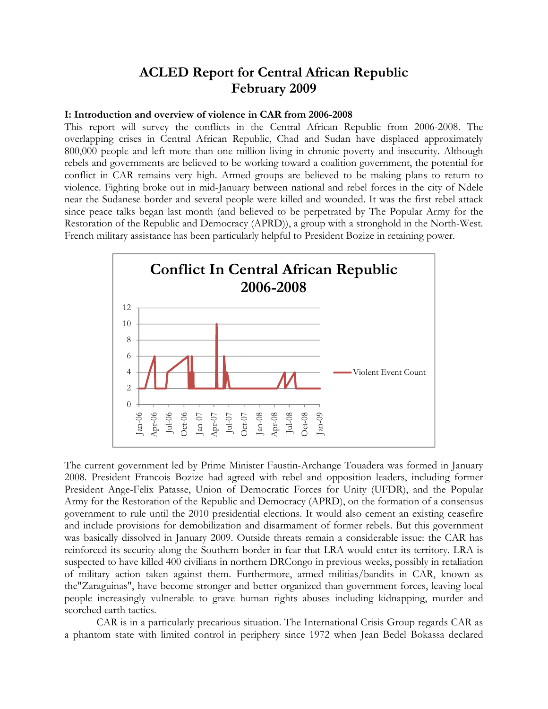# **ACLED Report for Central African Republic February 2009**

#### **I: Introduction and overview of violence in CAR from 2006-2008**

This report will survey the conflicts in the Central African Republic from 2006-2008. The overlapping crises in Central African Republic, Chad and Sudan have displaced approximately 800,000 people and left more than one million living in chronic poverty and insecurity. Although rebels and governments are believed to be working toward a coalition government, the potential for conflict in CAR remains very high. Armed groups are believed to be making plans to return to violence. Fighting broke out in mid-January between national and rebel forces in the city of Ndele near the Sudanese border and several people were killed and wounded. It was the first rebel attack since peace talks began last month (and believed to be perpetrated by The Popular Army for the Restoration of the Republic and Democracy (APRD)), a group with a stronghold in the North-West. French military assistance has been particularly helpful to President Bozize in retaining power.



The current government led by Prime Minister Faustin-Archange Touadera was formed in January 2008. President Francois Bozize had agreed with rebel and opposition leaders, including former President Ange-Felix Patasse, Union of Democratic Forces for Unity (UFDR), and the Popular Army for the Restoration of the Republic and Democracy (APRD), on the formation of a consensus government to rule until the 2010 presidential elections. It would also cement an existing ceasefire and include provisions for demobilization and disarmament of former rebels. But this government was basically dissolved in January 2009. Outside threats remain a considerable issue: the CAR has reinforced its security along the Southern border in fear that LRA would enter its territory. LRA is suspected to have killed 400 civilians in northern DRCongo in previous weeks, possibly in retaliation of military action taken against them. Furthermore, armed militias/bandits in CAR, known as the"Zaraguinas", have become stronger and better organized than government forces, leaving local people increasingly vulnerable to grave human rights abuses including kidnapping, murder and scorched earth tactics.

CAR is in a particularly precarious situation. The International Crisis Group regards CAR as a phantom state with limited control in periphery since 1972 when Jean Bedel Bokassa declared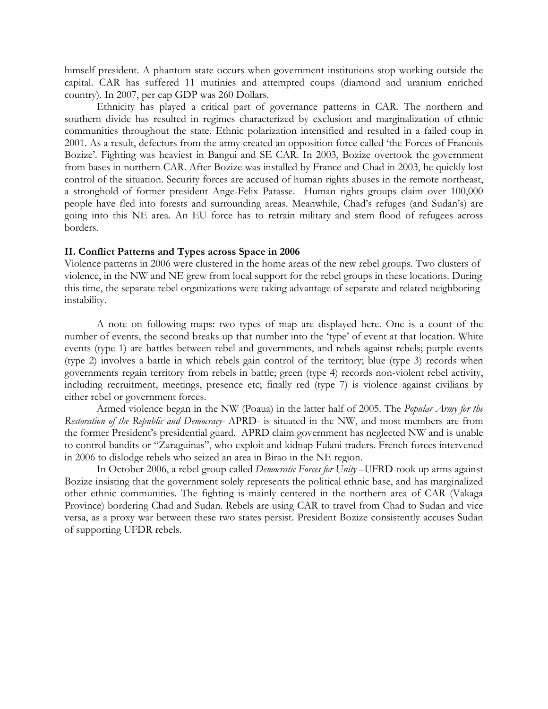himself president. A phantom state occurs when government institutions stop working outside the capital. CAR has suffered 11 mutinies and attempted coups (diamond and uranium enriched country). In 2007, per cap GDP was 260 Dollars.

Ethnicity has played a critical part of governance patterns in CAR. The northern and southern divide has resulted in regimes characterized by exclusion and marginalization of ethnic communities throughout the state. Ethnic polarization intensified and resulted in a failed coup in 2001. As a result, defectors from the army created an opposition force called 'the Forces of Francois Bozize'. Fighting was heaviest in Bangui and SE CAR. In 2003, Bozize overtook the government from bases in northern CAR. After Bozize was installed by France and Chad in 2003, he quickly lost control of the situation. Security forces are accused of human rights abuses in the remote northeast, a stronghold of former president Ange-Felix Patasse. Human rights groups claim over 100,000 people have fled into forests and surrounding areas. Meanwhile, Chad's refuges (and Sudan's) are going into this NE area. An EU force has to retrain military and stem flood of refugees across borders.

#### **II. Conflict Patterns and Types across Space in 2006**

Violence patterns in 2006 were clustered in the home areas of the new rebel groups. Two clusters of violence, in the NW and NE grew from local support for the rebel groups in these locations. During this time, the separate rebel organizations were taking advantage of separate and related neighboring instability.

A note on following maps: two types of map are displayed here. One is a count of the number of events, the second breaks up that number into the 'type' of event at that location. White events (type 1) are battles between rebel and governments, and rebels against rebels; purple events (type 2) involves a battle in which rebels gain control of the territory; blue (type 3) records when governments regain territory from rebels in battle; green (type 4) records non-violent rebel activity, including recruitment, meetings, presence etc; finally red (type 7) is violence against civilians by either rebel or government forces.

Armed violence began in the NW (Poaua) in the latter half of 2005. The *Popular Army for the Restoration of the Republic and Democracy-* APRD- is situated in the NW, and most members are from the former President's presidential guard. APRD claim government has neglected NW and is unable to control bandits or "Zaraguinas", who exploit and kidnap Fulani traders. French forces intervened in 2006 to dislodge rebels who seized an area in Birao in the NE region.

In October 2006, a rebel group called *Democratic Forces for Unity* –UFRD-took up arms against Bozize insisting that the government solely represents the political ethnic base, and has marginalized other ethnic communities. The fighting is mainly centered in the northern area of CAR (Vakaga Province) bordering Chad and Sudan. Rebels are using CAR to travel from Chad to Sudan and vice versa, as a proxy war between these two states persist. President Bozize consistently accuses Sudan of supporting UFDR rebels.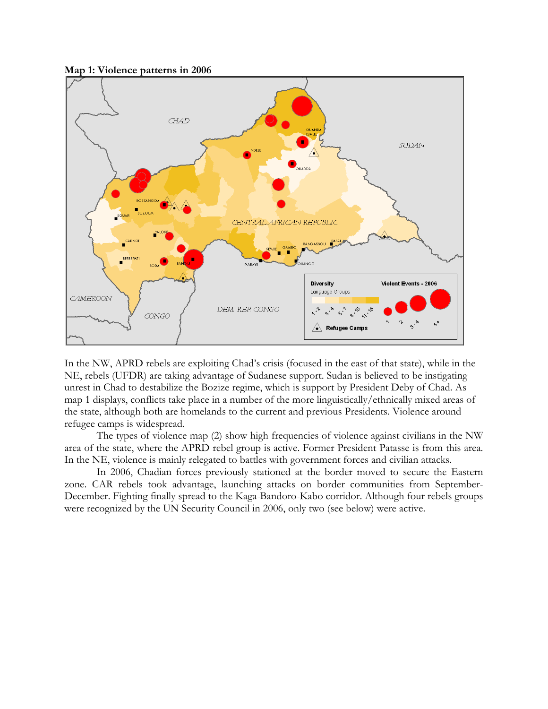

CONGO

In the NW, APRD rebels are exploiting Chad's crisis (focused in the east of that state), while in the NE, rebels (UFDR) are taking advantage of Sudanese support. Sudan is believed to be instigating unrest in Chad to destabilize the Bozize regime, which is support by President Deby of Chad. As map 1 displays, conflicts take place in a number of the more linguistically/ethnically mixed areas of the state, although both are homelands to the current and previous Presidents. Violence around refugee camps is widespread.

**Refugee Camps** 

 $6^*$ 

The types of violence map (2) show high frequencies of violence against civilians in the NW area of the state, where the APRD rebel group is active. Former President Patasse is from this area. In the NE, violence is mainly relegated to battles with government forces and civilian attacks.

In 2006, Chadian forces previously stationed at the border moved to secure the Eastern zone. CAR rebels took advantage, launching attacks on border communities from September-December. Fighting finally spread to the Kaga-Bandoro-Kabo corridor. Although four rebels groups were recognized by the UN Security Council in 2006, only two (see below) were active.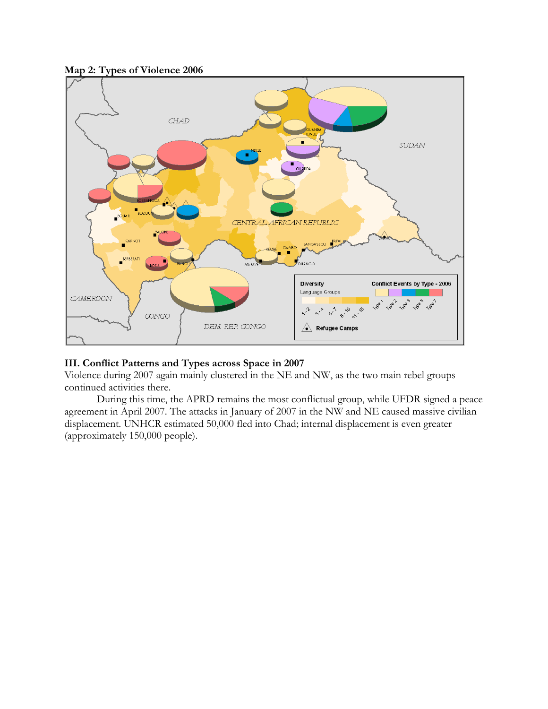

### **Map 2: Types of Violence 2006**

### **III. Conflict Patterns and Types across Space in 2007**

Violence during 2007 again mainly clustered in the NE and NW, as the two main rebel groups continued activities there.

During this time, the APRD remains the most conflictual group, while UFDR signed a peace agreement in April 2007. The attacks in January of 2007 in the NW and NE caused massive civilian displacement. UNHCR estimated 50,000 fled into Chad; internal displacement is even greater (approximately 150,000 people).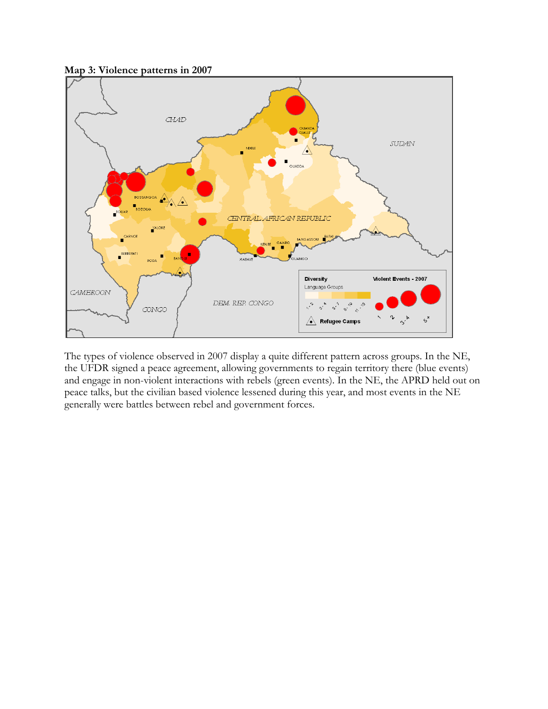

The types of violence observed in 2007 display a quite different pattern across groups. In the NE, the UFDR signed a peace agreement, allowing governments to regain territory there (blue events) and engage in non-violent interactions with rebels (green events). In the NE, the APRD held out on peace talks, but the civilian based violence lessened during this year, and most events in the NE generally were battles between rebel and government forces.

**Map 3: Violence patterns in 2007**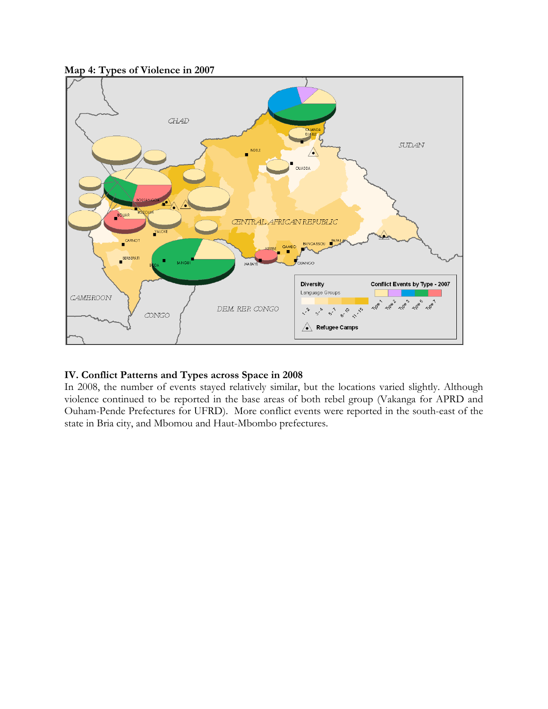

### **Map 4: Types of Violence in 2007**

## **IV. Conflict Patterns and Types across Space in 2008**

In 2008, the number of events stayed relatively similar, but the locations varied slightly. Although violence continued to be reported in the base areas of both rebel group (Vakanga for APRD and Ouham-Pende Prefectures for UFRD). More conflict events were reported in the south-east of the state in Bria city, and Mbomou and Haut-Mbombo prefectures.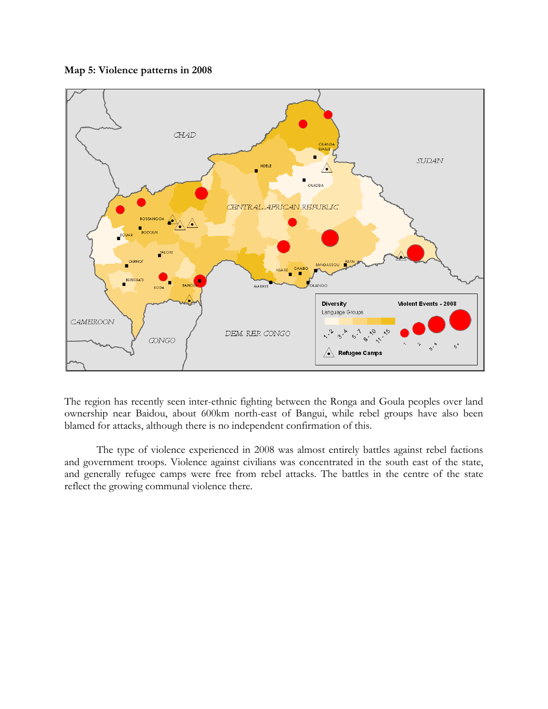### **Map 5: Violence patterns in 2008**



The region has recently seen inter-ethnic fighting between the Ronga and Goula peoples over land ownership near Baidou, about 600km north-east of Bangui, while rebel groups have also been blamed for attacks, although there is no independent confirmation of this.

 The type of violence experienced in 2008 was almost entirely battles against rebel factions and government troops. Violence against civilians was concentrated in the south east of the state, and generally refugee camps were free from rebel attacks. The battles in the centre of the state reflect the growing communal violence there.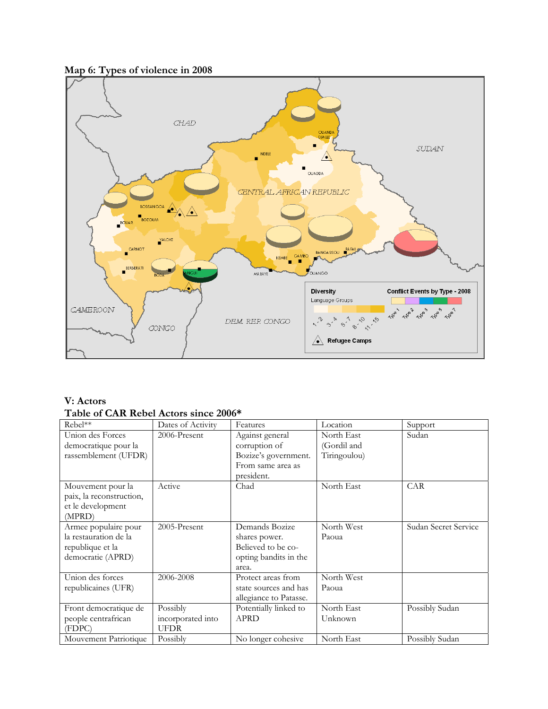## **Map 6: Types of violence in 2008**



### **V: Actors Table of CAR Rebel Actors since 2006\***

| Rebel**                                                                                | Dates of Activity                            | Features                                                                                    | Location                                  | Support              |
|----------------------------------------------------------------------------------------|----------------------------------------------|---------------------------------------------------------------------------------------------|-------------------------------------------|----------------------|
| Union des Forces<br>democratique pour la<br>rassemblement (UFDR)                       | 2006-Present                                 | Against general<br>corruption of<br>Bozize's government.<br>From same area as<br>president. | North East<br>(Gordil and<br>Tiringoulou) | Sudan                |
| Mouvement pour la<br>paix, la reconstruction,<br>et le development<br>(MPRD)           | Active                                       | Chad                                                                                        | North East                                | CAR                  |
| Armee populaire pour<br>la restauration de la<br>republique et la<br>democratie (APRD) | 2005-Present                                 | Demands Bozize<br>shares power.<br>Believed to be co-<br>opting bandits in the<br>area.     | North West<br>Paoua                       | Sudan Secret Service |
| Union des forces<br>republicaines (UFR)                                                | 2006-2008                                    | Protect areas from<br>state sources and has<br>allegiance to Patasse.                       | North West<br>Paoua                       |                      |
| Front democratique de<br>people centrafrican<br>(FDPC)                                 | Possibly<br>incorporated into<br><b>UFDR</b> | Potentially linked to<br><b>APRD</b>                                                        | North East<br>Unknown                     | Possibly Sudan       |
| Mouvement Patriotique                                                                  | Possibly                                     | No longer cohesive                                                                          | North East                                | Possibly Sudan       |